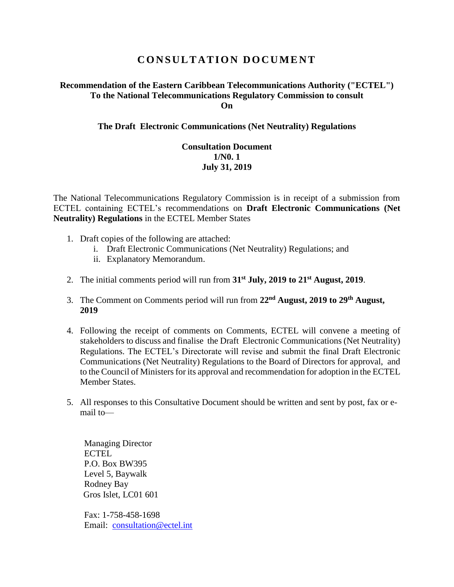# **C O N S U L T A T I O N D O C U M E N T**

### **Recommendation of the Eastern Caribbean Telecommunications Authority ("ECTEL") To the National Telecommunications Regulatory Commission to consult On**

### **The Draft Electronic Communications (Net Neutrality) Regulations**

## **Consultation Document 1/N0. 1 July 31, 2019**

The National Telecommunications Regulatory Commission is in receipt of a submission from ECTEL containing ECTEL's recommendations on **Draft Electronic Communications (Net Neutrality) Regulations** in the ECTEL Member States

- 1. Draft copies of the following are attached:
	- i. Draft Electronic Communications (Net Neutrality) Regulations; and
	- ii. Explanatory Memorandum.
- 2. The initial comments period will run from **31st July, 2019 to 21st August, 2019**.
- 3. The Comment on Comments period will run from **22nd August, 2019 to 29th August, 2019**
- 4. Following the receipt of comments on Comments, ECTEL will convene a meeting of stakeholders to discuss and finalise the Draft Electronic Communications (Net Neutrality) Regulations. The ECTEL's Directorate will revise and submit the final Draft Electronic Communications (Net Neutrality) Regulations to the Board of Directors for approval, and to the Council of Ministers for its approval and recommendation for adoption in the ECTEL Member States.
- 5. All responses to this Consultative Document should be written and sent by post, fax or email to—

Managing Director **ECTEL** P.O. Box BW395 Level 5, Baywalk Rodney Bay Gros Islet, LC01 601

Fax: 1-758-458-1698 Email: [consultation@ectel.int](mailto:consultation@ectel.int)